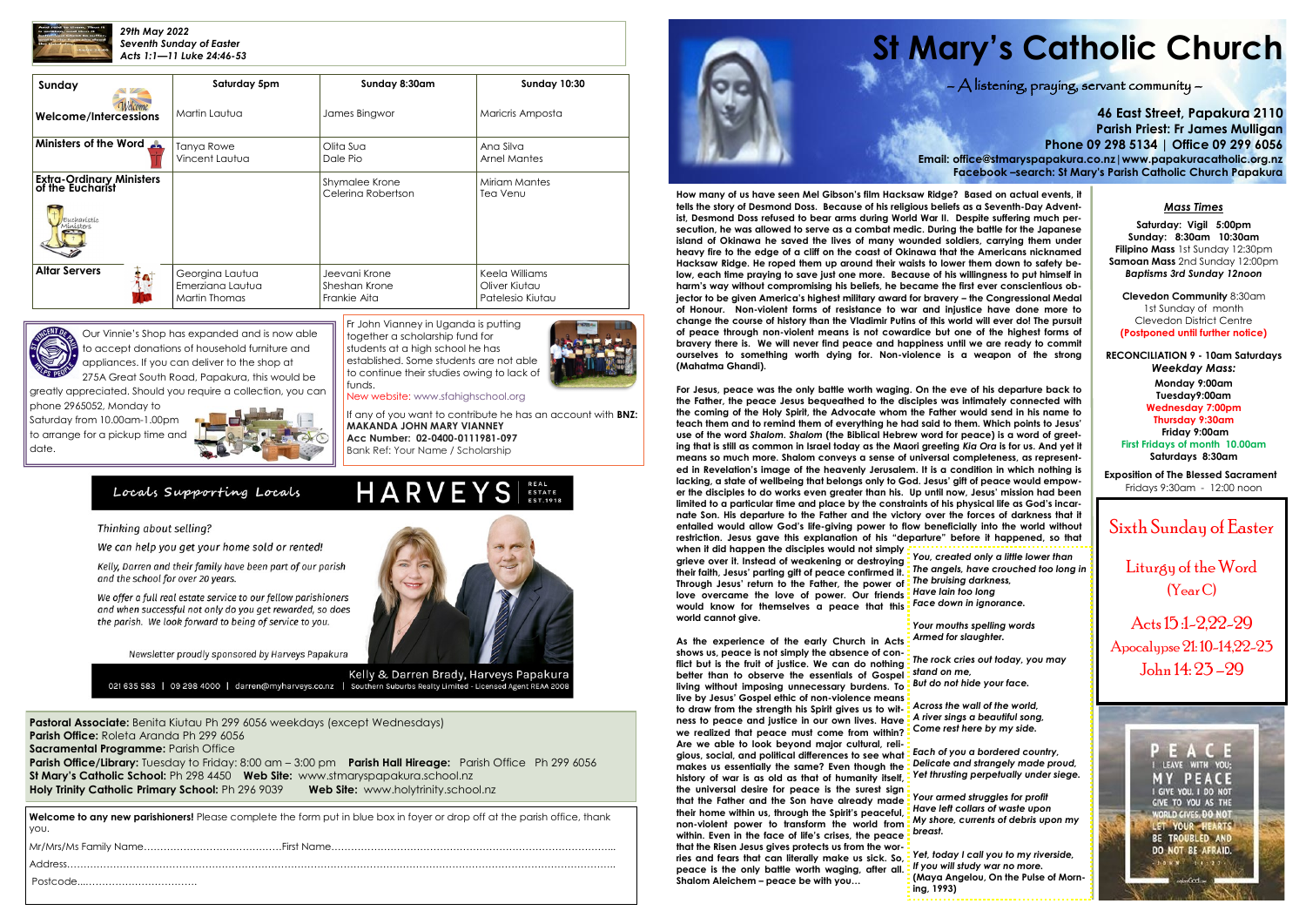

*29th May 2022 Seventh Sunday of Easter Acts 1:1—11 Luke 24:46-53*

**Pastoral Associate:** Benita Kiutau Ph 299 6056 weekdays (except Wednesdays) **Parish Office:** Roleta Aranda Ph 299 6056 **Sacramental Programme: Parish Office Parish Office/Library:** Tuesday to Friday: 8:00 am – 3:00 pm **Parish Hall Hireage:** Parish Office Ph 299 6056 **St Mary's Catholic School:** Ph 298 4450 **Web Site:** [www.stmaryspapakura.school.nz](http://www.stmaryspapakura.school.nz) **Holy Trinity Catholic Primary School:** Ph 296 9039 **Web Site:** www.holytrinity.school.nz

# **St Mary's Catholic Church**

 $\bigwedge$  listening, praying, servant community  $-$ 

**46 East Street, Papakura 2110 Parish Priest: Fr James Mulligan Phone 09 298 5134 | Office 09 299 6056 Email: office@stmaryspapakura.co.nz|www.papakuracatholic.org.nz Facebook –search: St Mary's Parish Catholic Church Papakura**

### Sixth Sunday of Easter

Liturgy of the Word (Year C)

Acts 15 :1-2,22-29 Apocalypse 21: 10-14,22-23 John 14: 23 –29



| Sunday                                              | Saturday 5pm     | Sunday 8:30am      | <b>Sunday 10:30</b> |  |
|-----------------------------------------------------|------------------|--------------------|---------------------|--|
| <i>Melcome</i><br><b>Welcome/Intercessions</b>      | Martin Lautua    | James Bingwor      | Maricris Amposta    |  |
| <b>Ministers of the Word</b>                        | Tanya Rowe       | Olita Sua          | Ana Silva           |  |
|                                                     | Vincent Lautua   | Dale Pio           | <b>Arnel Mantes</b> |  |
| <b>Extra-Ordinary Ministers</b><br>of the Eucharist |                  | Shymalee Krone     | Miriam Mantes       |  |
| Eucharístíc<br>Mínísters                            |                  | Celerina Robertson | Tea Venu            |  |
| <b>Altar Servers</b>                                | Georgina Lautua  | Jeevani Krone      | Keela Williams      |  |
|                                                     | Emerziana Lautua | Sheshan Krone      | Oliver Kiutau       |  |
|                                                     | Martin Thomas    | Frankie Aita       | Patelesio Kiutau    |  |



Fr John Vianney in Uganda is putting together a scholarship fund for students at a high school he has established. Some students are not able to continue their studies owing to lack of funds.



HARVEYS S

If any of you want to contribute he has an account with **BNZ: MAKANDA JOHN MARY VIANNEY Acc Number: 02-0400-0111981-097** Bank Ref: Your Name / Scholarship

#### Locals Supporting Locals

#### Thinking about selling?

We can help you get your home sold or rented!

Kelly, Darren and their family have been part of our parish and the school for over 20 years.

We offer a full real estate service to our fellow parishioners and when successful not only do you get rewarded, so does the parish. We look forward to being of service to you.

Newsletter proudly sponsored by Harveys Papakura



Kelly & Darren Brady, Harveys Papakura 021 635 583 | 09 298 4000 | darren@myharveys.co.nz | Southern Suburbs Realty Limited - Licensed Agent REAA 2008

**Welcome to any new parishioners!** Please complete the form put in blue box in foyer or drop off at the parish office, thank you.

| $1 Add \verb ress  \verb 1  add \verb ress  \verb 1  and \verb 1  add \verb ress  \verb 1  and \verb 1  add \verb ress  \verb 1  and \verb 1  add \verb 1  and \verb 1  add \verb 1  and \verb 1  add \verb 1  and \verb 1  add \verb 1  and \verb 1  add \verb 1  and \verb 1  add \verb 1  and \verb 1  add \verb 1  and \verb 1  add \verb 1  and \verb 1  and \verb 1  add \verb 1  and \verb 1  and \verb 1  and \verb 1  and \verb 1  and \verb 1  and \verb 1  and \verb 1  and \verb$ |  |
|-----------------------------------------------------------------------------------------------------------------------------------------------------------------------------------------------------------------------------------------------------------------------------------------------------------------------------------------------------------------------------------------------------------------------------------------------------------------------------------------------|--|
|                                                                                                                                                                                                                                                                                                                                                                                                                                                                                               |  |
|                                                                                                                                                                                                                                                                                                                                                                                                                                                                                               |  |



#### *Mass Times*

**Saturday: Vigil 5:00pm Sunday: 8:30am 10:30am Filipino Mass** 1st Sunday 12:30pm **Samoan Mass** 2nd Sunday 12:00pm *Baptisms 3rd Sunday 12noon*

**Clevedon Community** 8:30am 1st Sunday of month Clevedon District Centre **(Postponed until further notice)**

**RECONCILIATION 9 - 10am Saturdays** *Weekday Mass:* **Monday 9:00am Tuesday9:00am Wednesday 7:00pm Thursday 9:30am Friday 9:00am First Fridays of month 10.00am Saturdays 8:30am**

**Exposition of The Blessed Sacrament** Fridays 9:30am - 12:00 noon

Our Vinnie's Shop has expanded and is now able to accept donations of household furniture and appliances. If you can deliver to the shop at

275A Great South Road, Papakura, this would be greatly appreciated. Should you require a collection, you can

phone 2965052, Monday to Saturday from 10.00am-1.00pm to arrange for a pickup time and date.



**How many of us have seen Mel Gibson's film Hacksaw Ridge? Based on actual events, it tells the story of Desmond Doss. Because of his religious beliefs as a Seventh-Day Adventist, Desmond Doss refused to bear arms during World War II. Despite suffering much persecution, he was allowed to serve as a combat medic. During the battle for the Japanese island of Okinawa he saved the lives of many wounded soldiers, carrying them under heavy fire to the edge of a cliff on the coast of Okinawa that the Americans nicknamed Hacksaw Ridge. He roped them up around their waists to lower them down to safety below, each time praying to save just one more. Because of his willingness to put himself in harm's way without compromising his beliefs, he became the first ever conscientious objector to be given America's highest military award for bravery – the Congressional Medal of Honour. Non-violent forms of resistance to war and injustice have done more to change the course of history than the Vladimir Putins of this world will ever do! The pursuit of peace through non-violent means is not cowardice but one of the highest forms of bravery there is. We will never find peace and happiness until we are ready to commit ourselves to something worth dying for. Non-violence is a weapon of the strong (Mahatma Ghandi).**

**For Jesus, peace was the only battle worth waging. On the eve of his departure back to the Father, the peace Jesus bequeathed to the disciples was intimately connected with the coming of the Holy Spirit, the Advocate whom the Father would send in his name to teach them and to remind them of everything he had said to them. Which points to Jesus' use of the word** *Shalom***.** *Shalom* **(the Biblical Hebrew word for peace) is a word of greeting that is still as common in Israel today as the Maori greeting** *Kia Ora* **is for us. And yet it means so much more. Shalom conveys a sense of universal completeness, as represented in Revelation's image of the heavenly Jerusalem. It is a condition in which nothing is lacking, a state of wellbeing that belongs only to God. Jesus' gift of peace would empower the disciples to do works even greater than his. Up until now, Jesus' mission had been limited to a particular time and place by the constraints of his physical life as God's incarnate Son. His departure to the Father and the victory over the forces of darkness that it entailed would allow God's life-giving power to flow beneficially into the world without restriction. Jesus gave this explanation of his "departure" before it happened, so that** 

**when it did happen the disciples would not simply grieve over it. Instead of weakening or destroying**  *You, created only a little lower than* **their faith, Jesus' parting gift of peace confirmed it.**  *The angels, have crouched too long in* **Through Jesus' return to the Father, the power of**  *The bruising darkness,* **love overcame the love of power. Our friends**  *Have lain too long* **would know for themselves a peace that this world cannot give.** 

**As the experience of the early Church in Acts shows us, peace is not simply the absence of conflict but is the fruit of justice. We can do nothing better than to observe the essentials of Gospel living without imposing unnecessary burdens. To**  *But do not hide your face.* **live by Jesus' Gospel ethic of non-violence means to draw from the strength his Spirit gives us to witness to peace and justice in our own lives. Have we realized that peace must come from within? Are we able to look beyond major cultural, religious, social, and political differences to see what makes us essentially the same? Even though the history of war is as old as that of humanity itself, the universal desire for peace is the surest sign that the Father and the Son have already made their home within us, through the Spirit's peaceful, non-violent power to transform the world from within. Even in the face of life's crises, the peace that the Risen Jesus gives protects us from the worries and fears that can literally make us sick. So, peace is the only battle worth waging, after all. Shalom Aleichem – peace be with you…** 

*Face down in ignorance.*

*Your mouths spelling words Armed for slaughter.*

*The rock cries out today, you may stand on me,*

*Across the wall of the world, A river sings a beautiful song, Come rest here by my side.*

*Each of you a bordered country, Delicate and strangely made proud, Yet thrusting perpetually under siege.*

*Your armed struggles for profit Have left collars of waste upon My shore, currents of debris upon my breast.*

*Yet, today I call you to my riverside, If you will study war no more.* **(Maya Angelou, On the Pulse of Morning, 1993)**